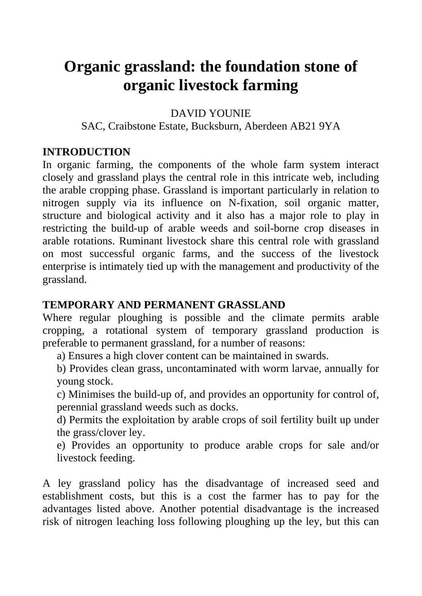# **Organic grassland: the foundation stone of organic livestock farming**

DAVID YOUNIE SAC, Craibstone Estate, Bucksburn, Aberdeen AB21 9YA

#### **INTRODUCTION**

In organic farming, the components of the whole farm system interact closely and grassland plays the central role in this intricate web, including the arable cropping phase. Grassland is important particularly in relation to nitrogen supply via its influence on N-fixation, soil organic matter, structure and biological activity and it also has a major role to play in restricting the build-up of arable weeds and soil-borne crop diseases in arable rotations. Ruminant livestock share this central role with grassland on most successful organic farms, and the success of the livestock enterprise is intimately tied up with the management and productivity of the grassland.

#### **TEMPORARY AND PERMANENT GRASSLAND**

Where regular ploughing is possible and the climate permits arable cropping, a rotational system of temporary grassland production is preferable to permanent grassland, for a number of reasons:

a) Ensures a high clover content can be maintained in swards.

b) Provides clean grass, uncontaminated with worm larvae, annually for young stock.

c) Minimises the build-up of, and provides an opportunity for control of, perennial grassland weeds such as docks.

d) Permits the exploitation by arable crops of soil fertility built up under the grass/clover ley.

e) Provides an opportunity to produce arable crops for sale and/or livestock feeding.

A ley grassland policy has the disadvantage of increased seed and establishment costs, but this is a cost the farmer has to pay for the advantages listed above. Another potential disadvantage is the increased risk of nitrogen leaching loss following ploughing up the ley, but this can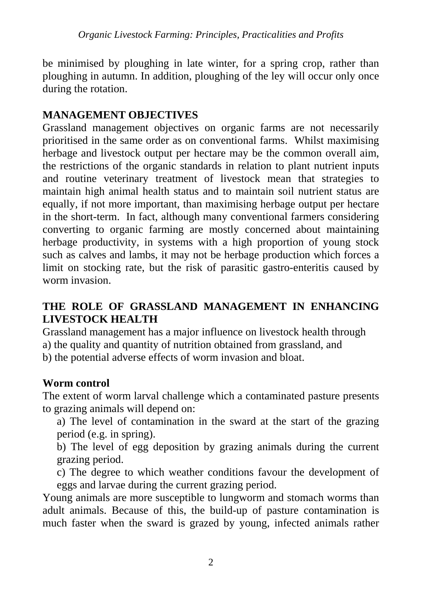be minimised by ploughing in late winter, for a spring crop, rather than ploughing in autumn. In addition, ploughing of the ley will occur only once during the rotation.

# **MANAGEMENT OBJECTIVES**

Grassland management objectives on organic farms are not necessarily prioritised in the same order as on conventional farms. Whilst maximising herbage and livestock output per hectare may be the common overall aim, the restrictions of the organic standards in relation to plant nutrient inputs and routine veterinary treatment of livestock mean that strategies to maintain high animal health status and to maintain soil nutrient status are equally, if not more important, than maximising herbage output per hectare in the short-term. In fact, although many conventional farmers considering converting to organic farming are mostly concerned about maintaining herbage productivity, in systems with a high proportion of young stock such as calves and lambs, it may not be herbage production which forces a limit on stocking rate, but the risk of parasitic gastro-enteritis caused by worm invasion.

# **THE ROLE OF GRASSLAND MANAGEMENT IN ENHANCING LIVESTOCK HEALTH**

Grassland management has a major influence on livestock health through a) the quality and quantity of nutrition obtained from grassland, and

b) the potential adverse effects of worm invasion and bloat.

## **Worm control**

The extent of worm larval challenge which a contaminated pasture presents to grazing animals will depend on:

a) The level of contamination in the sward at the start of the grazing period (e.g. in spring).

b) The level of egg deposition by grazing animals during the current grazing period.

c) The degree to which weather conditions favour the development of eggs and larvae during the current grazing period.

Young animals are more susceptible to lungworm and stomach worms than adult animals. Because of this, the build-up of pasture contamination is much faster when the sward is grazed by young, infected animals rather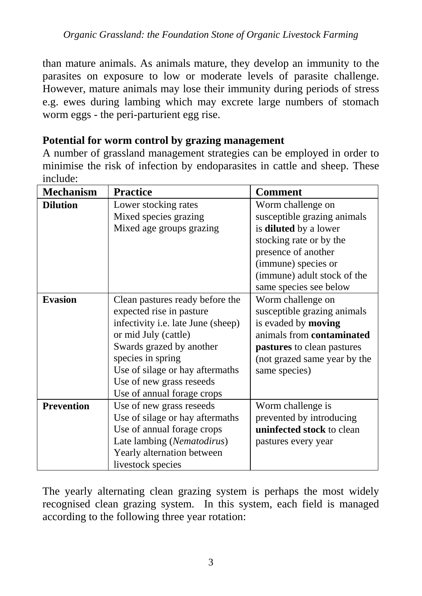than mature animals. As animals mature, they develop an immunity to the parasites on exposure to low or moderate levels of parasite challenge. However, mature animals may lose their immunity during periods of stress e.g. ewes during lambing which may excrete large numbers of stomach worm eggs - the peri-parturient egg rise.

## **Potential for worm control by grazing management**

A number of grassland management strategies can be employed in order to minimise the risk of infection by endoparasites in cattle and sheep. These include:

| <b>Mechanism</b>  | <b>Practice</b>                    | <b>Comment</b>               |
|-------------------|------------------------------------|------------------------------|
| <b>Dilution</b>   | Lower stocking rates               | Worm challenge on            |
|                   | Mixed species grazing              | susceptible grazing animals  |
|                   | Mixed age groups grazing           | is <b>diluted</b> by a lower |
|                   |                                    | stocking rate or by the      |
|                   |                                    | presence of another          |
|                   |                                    | (immune) species or          |
|                   |                                    | (immune) adult stock of the  |
|                   |                                    | same species see below       |
| <b>Evasion</b>    | Clean pastures ready before the    | Worm challenge on            |
|                   | expected rise in pasture           | susceptible grazing animals  |
|                   | infectivity i.e. late June (sheep) | is evaded by moving          |
|                   | or mid July (cattle)               | animals from contaminated    |
|                   | Swards grazed by another           | pastures to clean pastures   |
|                   | species in spring                  | (not grazed same year by the |
|                   | Use of silage or hay aftermaths    | same species)                |
|                   | Use of new grass reseeds           |                              |
|                   | Use of annual forage crops         |                              |
| <b>Prevention</b> | Use of new grass reseeds           | Worm challenge is            |
|                   | Use of silage or hay aftermaths    | prevented by introducing     |
|                   | Use of annual forage crops         | uninfected stock to clean    |
|                   | Late lambing (Nematodirus)         | pastures every year          |
|                   | Yearly alternation between         |                              |
|                   | livestock species                  |                              |

The yearly alternating clean grazing system is perhaps the most widely recognised clean grazing system. In this system, each field is managed according to the following three year rotation: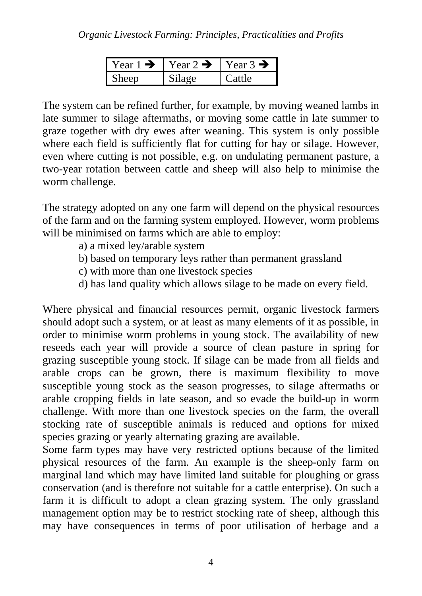| Year<br>$\rightarrow$ | Year $2 \rightarrow$ | Year 3 ➡ |
|-----------------------|----------------------|----------|
|                       |                      | ∼ا⊧      |

The system can be refined further, for example, by moving weaned lambs in late summer to silage aftermaths, or moving some cattle in late summer to graze together with dry ewes after weaning. This system is only possible where each field is sufficiently flat for cutting for hay or silage. However, even where cutting is not possible, e.g. on undulating permanent pasture, a two-year rotation between cattle and sheep will also help to minimise the worm challenge.

The strategy adopted on any one farm will depend on the physical resources of the farm and on the farming system employed. However, worm problems will be minimised on farms which are able to employ:

- a) a mixed ley/arable system
- b) based on temporary leys rather than permanent grassland
- c) with more than one livestock species
- d) has land quality which allows silage to be made on every field.

Where physical and financial resources permit, organic livestock farmers should adopt such a system, or at least as many elements of it as possible, in order to minimise worm problems in young stock. The availability of new reseeds each year will provide a source of clean pasture in spring for grazing susceptible young stock. If silage can be made from all fields and arable crops can be grown, there is maximum flexibility to move susceptible young stock as the season progresses, to silage aftermaths or arable cropping fields in late season, and so evade the build-up in worm challenge. With more than one livestock species on the farm, the overall stocking rate of susceptible animals is reduced and options for mixed species grazing or yearly alternating grazing are available.

Some farm types may have very restricted options because of the limited physical resources of the farm. An example is the sheep-only farm on marginal land which may have limited land suitable for ploughing or grass conservation (and is therefore not suitable for a cattle enterprise). On such a farm it is difficult to adopt a clean grazing system. The only grassland management option may be to restrict stocking rate of sheep, although this may have consequences in terms of poor utilisation of herbage and a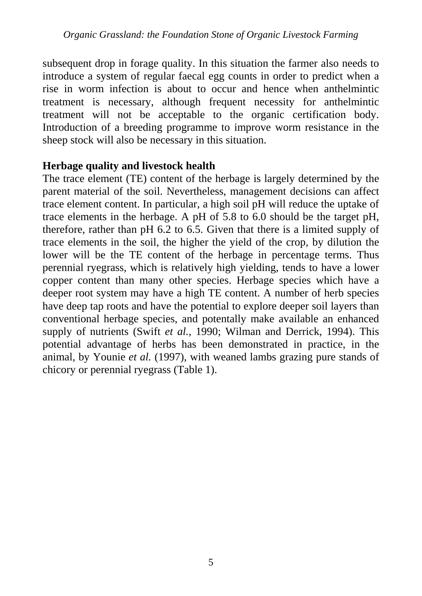subsequent drop in forage quality. In this situation the farmer also needs to introduce a system of regular faecal egg counts in order to predict when a rise in worm infection is about to occur and hence when anthelmintic treatment is necessary, although frequent necessity for anthelmintic treatment will not be acceptable to the organic certification body. Introduction of a breeding programme to improve worm resistance in the sheep stock will also be necessary in this situation.

#### **Herbage quality and livestock health**

The trace element (TE) content of the herbage is largely determined by the parent material of the soil. Nevertheless, management decisions can affect trace element content. In particular, a high soil pH will reduce the uptake of trace elements in the herbage. A pH of 5.8 to 6.0 should be the target pH, therefore, rather than pH 6.2 to 6.5. Given that there is a limited supply of trace elements in the soil, the higher the yield of the crop, by dilution the lower will be the TE content of the herbage in percentage terms. Thus perennial ryegrass, which is relatively high yielding, tends to have a lower copper content than many other species. Herbage species which have a deeper root system may have a high TE content. A number of herb species have deep tap roots and have the potential to explore deeper soil layers than conventional herbage species, and potentally make available an enhanced supply of nutrients (Swift *et al.*, 1990; Wilman and Derrick, 1994). This potential advantage of herbs has been demonstrated in practice, in the animal, by Younie *et al.* (1997), with weaned lambs grazing pure stands of chicory or perennial ryegrass (Table 1).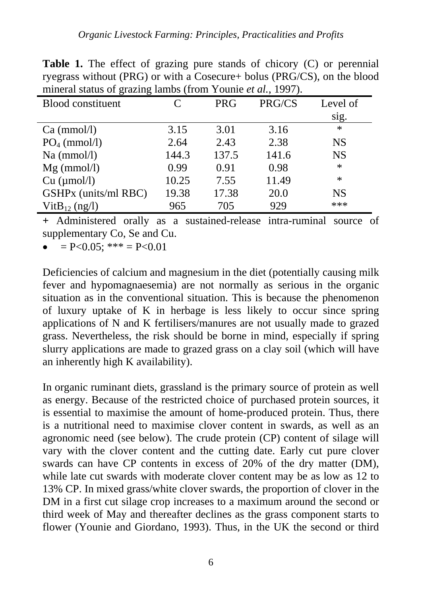| mineral status of grazing lambs (from Younie <i>et al.</i> , 1997). |       |            |        |           |  |  |
|---------------------------------------------------------------------|-------|------------|--------|-----------|--|--|
| <b>Blood constituent</b>                                            |       | <b>PRG</b> | PRG/CS | Level of  |  |  |
|                                                                     |       |            |        | sig.      |  |  |
| Ca (mmol/l)                                                         | 3.15  | 3.01       | 3.16   | $\ast$    |  |  |
| $PO4$ (mmol/l)                                                      | 2.64  | 2.43       | 2.38   | <b>NS</b> |  |  |
| $Na$ (mmol/l)                                                       | 144.3 | 137.5      | 141.6  | <b>NS</b> |  |  |
| $Mg$ (mmol/l)                                                       | 0.99  | 0.91       | 0.98   | $\ast$    |  |  |
| Cu (µmol/l)                                                         | 10.25 | 7.55       | 11.49  | $\ast$    |  |  |
| GSHPx (units/ml RBC)                                                | 19.38 | 17.38      | 20.0   | <b>NS</b> |  |  |
| Vit $B_{12}$ (ng/l)                                                 | 965   | 705        | 929    | ***       |  |  |

**Table 1.** The effect of grazing pure stands of chicory (C) or perennial ryegrass without (PRG) or with a Cosecure+ bolus (PRG/CS), on the blood mineral status of grazing lambs (from Younie *et al.*, 1997).

**+** Administered orally as a sustained-release intra-ruminal source of supplementary Co, Se and Cu.

 $= P < 0.05$ ; \*\*\*  $= P < 0.01$ 

Deficiencies of calcium and magnesium in the diet (potentially causing milk fever and hypomagnaesemia) are not normally as serious in the organic situation as in the conventional situation. This is because the phenomenon of luxury uptake of K in herbage is less likely to occur since spring applications of N and K fertilisers/manures are not usually made to grazed grass. Nevertheless, the risk should be borne in mind, especially if spring slurry applications are made to grazed grass on a clay soil (which will have an inherently high K availability).

In organic ruminant diets, grassland is the primary source of protein as well as energy. Because of the restricted choice of purchased protein sources, it is essential to maximise the amount of home-produced protein. Thus, there is a nutritional need to maximise clover content in swards, as well as an agronomic need (see below). The crude protein (CP) content of silage will vary with the clover content and the cutting date. Early cut pure clover swards can have CP contents in excess of 20% of the dry matter (DM), while late cut swards with moderate clover content may be as low as 12 to 13% CP. In mixed grass/white clover swards, the proportion of clover in the DM in a first cut silage crop increases to a maximum around the second or third week of May and thereafter declines as the grass component starts to flower (Younie and Giordano, 1993). Thus, in the UK the second or third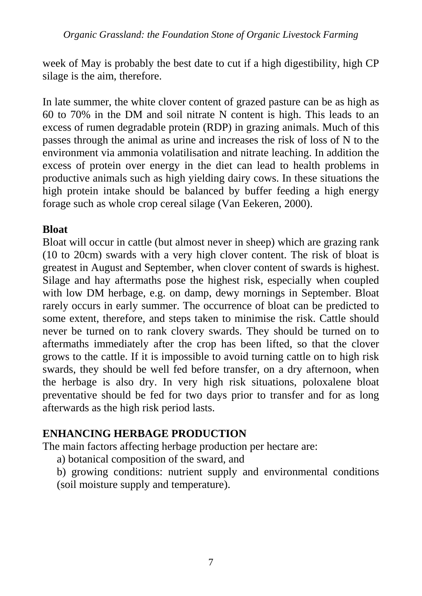week of May is probably the best date to cut if a high digestibility, high CP silage is the aim, therefore.

In late summer, the white clover content of grazed pasture can be as high as 60 to 70% in the DM and soil nitrate N content is high. This leads to an excess of rumen degradable protein (RDP) in grazing animals. Much of this passes through the animal as urine and increases the risk of loss of N to the environment via ammonia volatilisation and nitrate leaching. In addition the excess of protein over energy in the diet can lead to health problems in productive animals such as high yielding dairy cows. In these situations the high protein intake should be balanced by buffer feeding a high energy forage such as whole crop cereal silage (Van Eekeren, 2000).

#### **Bloat**

Bloat will occur in cattle (but almost never in sheep) which are grazing rank (10 to 20cm) swards with a very high clover content. The risk of bloat is greatest in August and September, when clover content of swards is highest. Silage and hay aftermaths pose the highest risk, especially when coupled with low DM herbage, e.g. on damp, dewy mornings in September. Bloat rarely occurs in early summer. The occurrence of bloat can be predicted to some extent, therefore, and steps taken to minimise the risk. Cattle should never be turned on to rank clovery swards. They should be turned on to aftermaths immediately after the crop has been lifted, so that the clover grows to the cattle. If it is impossible to avoid turning cattle on to high risk swards, they should be well fed before transfer, on a dry afternoon, when the herbage is also dry. In very high risk situations, poloxalene bloat preventative should be fed for two days prior to transfer and for as long afterwards as the high risk period lasts.

## **ENHANCING HERBAGE PRODUCTION**

The main factors affecting herbage production per hectare are:

a) botanical composition of the sward, and

b) growing conditions: nutrient supply and environmental conditions (soil moisture supply and temperature).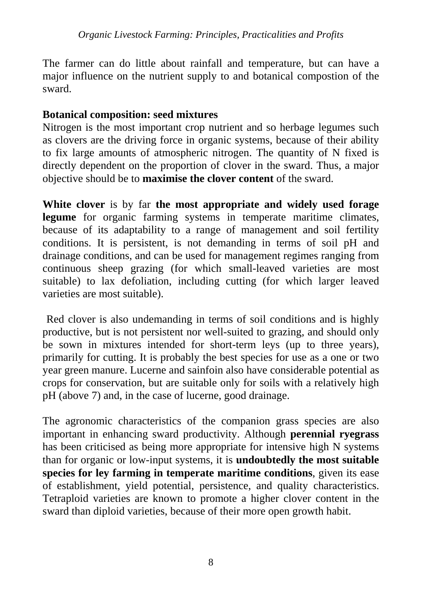The farmer can do little about rainfall and temperature, but can have a major influence on the nutrient supply to and botanical compostion of the sward.

#### **Botanical composition: seed mixtures**

Nitrogen is the most important crop nutrient and so herbage legumes such as clovers are the driving force in organic systems, because of their ability to fix large amounts of atmospheric nitrogen. The quantity of N fixed is directly dependent on the proportion of clover in the sward. Thus, a major objective should be to **maximise the clover content** of the sward.

**White clover** is by far **the most appropriate and widely used forage legume** for organic farming systems in temperate maritime climates, because of its adaptability to a range of management and soil fertility conditions. It is persistent, is not demanding in terms of soil pH and drainage conditions, and can be used for management regimes ranging from continuous sheep grazing (for which small-leaved varieties are most suitable) to lax defoliation, including cutting (for which larger leaved varieties are most suitable).

 Red clover is also undemanding in terms of soil conditions and is highly productive, but is not persistent nor well-suited to grazing, and should only be sown in mixtures intended for short-term leys (up to three years), primarily for cutting. It is probably the best species for use as a one or two year green manure. Lucerne and sainfoin also have considerable potential as crops for conservation, but are suitable only for soils with a relatively high pH (above 7) and, in the case of lucerne, good drainage.

The agronomic characteristics of the companion grass species are also important in enhancing sward productivity. Although **perennial ryegrass** has been criticised as being more appropriate for intensive high N systems than for organic or low-input systems, it is **undoubtedly the most suitable species for ley farming in temperate maritime conditions**, given its ease of establishment, yield potential, persistence, and quality characteristics. Tetraploid varieties are known to promote a higher clover content in the sward than diploid varieties, because of their more open growth habit.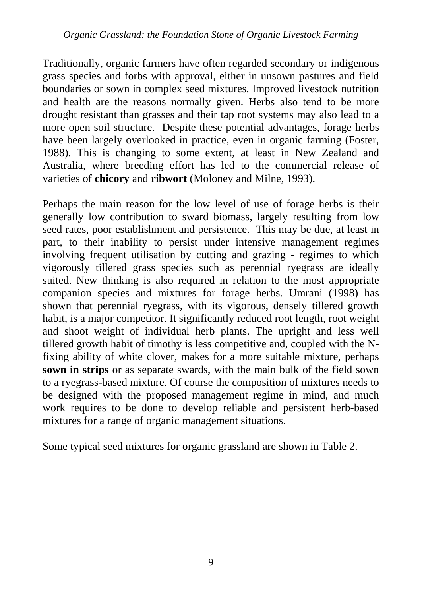Traditionally, organic farmers have often regarded secondary or indigenous grass species and forbs with approval, either in unsown pastures and field boundaries or sown in complex seed mixtures. Improved livestock nutrition and health are the reasons normally given. Herbs also tend to be more drought resistant than grasses and their tap root systems may also lead to a more open soil structure. Despite these potential advantages, forage herbs have been largely overlooked in practice, even in organic farming (Foster, 1988). This is changing to some extent, at least in New Zealand and Australia, where breeding effort has led to the commercial release of varieties of **chicory** and **ribwort** (Moloney and Milne, 1993).

Perhaps the main reason for the low level of use of forage herbs is their generally low contribution to sward biomass, largely resulting from low seed rates, poor establishment and persistence. This may be due, at least in part, to their inability to persist under intensive management regimes involving frequent utilisation by cutting and grazing - regimes to which vigorously tillered grass species such as perennial ryegrass are ideally suited. New thinking is also required in relation to the most appropriate companion species and mixtures for forage herbs. Umrani (1998) has shown that perennial ryegrass, with its vigorous, densely tillered growth habit, is a major competitor. It significantly reduced root length, root weight and shoot weight of individual herb plants. The upright and less well tillered growth habit of timothy is less competitive and, coupled with the Nfixing ability of white clover, makes for a more suitable mixture, perhaps **sown in strips** or as separate swards, with the main bulk of the field sown to a ryegrass-based mixture. Of course the composition of mixtures needs to be designed with the proposed management regime in mind, and much work requires to be done to develop reliable and persistent herb-based mixtures for a range of organic management situations.

Some typical seed mixtures for organic grassland are shown in Table 2.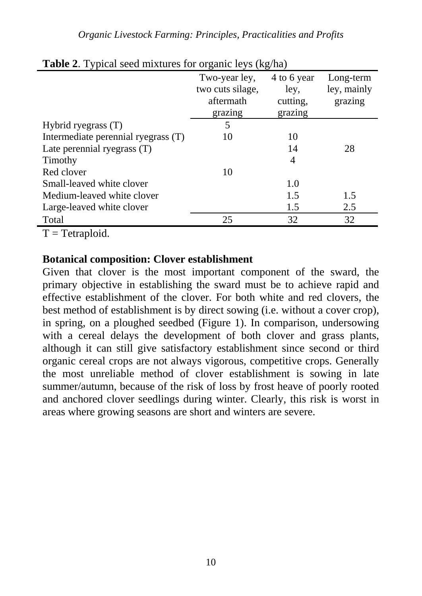| <b>Twore 2.</b> 1 year seed infinitive for organic to yo $(\mathbf{R})$ independent |                  |             |             |  |  |
|-------------------------------------------------------------------------------------|------------------|-------------|-------------|--|--|
|                                                                                     | Two-year ley,    | 4 to 6 year | Long-term   |  |  |
|                                                                                     | two cuts silage, | ley,        | ley, mainly |  |  |
|                                                                                     | aftermath        | cutting,    | grazing     |  |  |
|                                                                                     | grazing          | grazing     |             |  |  |
| Hybrid ryegrass (T)                                                                 | 5                |             |             |  |  |
| Intermediate perennial ryegrass (T)                                                 | 10               | 10          |             |  |  |
| Late perennial ryegrass (T)                                                         |                  | 14          | 28          |  |  |
| Timothy                                                                             |                  | 4           |             |  |  |
| Red clover                                                                          | 10               |             |             |  |  |
| Small-leaved white clover                                                           |                  | 1.0         |             |  |  |
| Medium-leaved white clover                                                          |                  | 1.5         | 1.5         |  |  |
| Large-leaved white clover                                                           |                  | 1.5         | 2.5         |  |  |
| Total                                                                               | 25               | 32          | 32          |  |  |
|                                                                                     |                  |             |             |  |  |

**Table 2**. Typical seed mixtures for organic leys (kg/ha)

 $T = Tetraploid.$ 

## **Botanical composition: Clover establishment**

Given that clover is the most important component of the sward, the primary objective in establishing the sward must be to achieve rapid and effective establishment of the clover. For both white and red clovers, the best method of establishment is by direct sowing (i.e. without a cover crop), in spring, on a ploughed seedbed (Figure 1). In comparison, undersowing with a cereal delays the development of both clover and grass plants, although it can still give satisfactory establishment since second or third organic cereal crops are not always vigorous, competitive crops. Generally the most unreliable method of clover establishment is sowing in late summer/autumn, because of the risk of loss by frost heave of poorly rooted and anchored clover seedlings during winter. Clearly, this risk is worst in areas where growing seasons are short and winters are severe.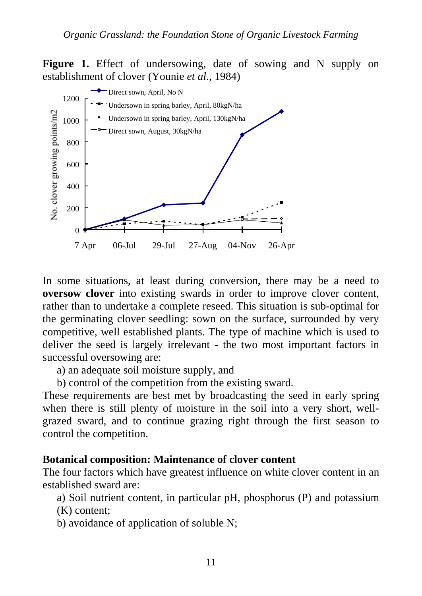**Figure 1.** Effect of undersowing, date of sowing and N supply on establishment of clover (Younie *et al.*, 1984)



In some situations, at least during conversion, there may be a need to **oversow clover** into existing swards in order to improve clover content, rather than to undertake a complete reseed. This situation is sub-optimal for the germinating clover seedling: sown on the surface, surrounded by very competitive, well established plants. The type of machine which is used to deliver the seed is largely irrelevant - the two most important factors in successful oversowing are:

a) an adequate soil moisture supply, and

b) control of the competition from the existing sward.

These requirements are best met by broadcasting the seed in early spring when there is still plenty of moisture in the soil into a very short, wellgrazed sward, and to continue grazing right through the first season to control the competition.

#### **Botanical composition: Maintenance of clover content**

The four factors which have greatest influence on white clover content in an established sward are:

a) Soil nutrient content, in particular pH, phosphorus (P) and potassium (K) content;

b) avoidance of application of soluble N;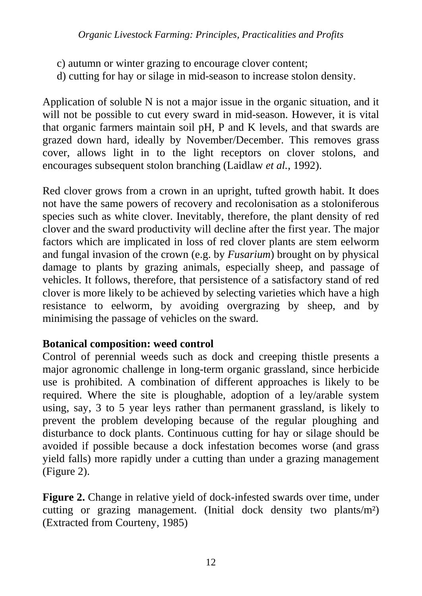- c) autumn or winter grazing to encourage clover content;
- d) cutting for hay or silage in mid-season to increase stolon density.

Application of soluble N is not a major issue in the organic situation, and it will not be possible to cut every sward in mid-season. However, it is vital that organic farmers maintain soil pH, P and K levels, and that swards are grazed down hard, ideally by November/December. This removes grass cover, allows light in to the light receptors on clover stolons, and encourages subsequent stolon branching (Laidlaw *et al.*, 1992).

Red clover grows from a crown in an upright, tufted growth habit. It does not have the same powers of recovery and recolonisation as a stoloniferous species such as white clover. Inevitably, therefore, the plant density of red clover and the sward productivity will decline after the first year. The major factors which are implicated in loss of red clover plants are stem eelworm and fungal invasion of the crown (e.g. by *Fusarium*) brought on by physical damage to plants by grazing animals, especially sheep, and passage of vehicles. It follows, therefore, that persistence of a satisfactory stand of red clover is more likely to be achieved by selecting varieties which have a high resistance to eelworm, by avoiding overgrazing by sheep, and by minimising the passage of vehicles on the sward.

## **Botanical composition: weed control**

Control of perennial weeds such as dock and creeping thistle presents a major agronomic challenge in long-term organic grassland, since herbicide use is prohibited. A combination of different approaches is likely to be required. Where the site is ploughable, adoption of a ley/arable system using, say, 3 to 5 year leys rather than permanent grassland, is likely to prevent the problem developing because of the regular ploughing and disturbance to dock plants. Continuous cutting for hay or silage should be avoided if possible because a dock infestation becomes worse (and grass yield falls) more rapidly under a cutting than under a grazing management (Figure 2).

**Figure 2.** Change in relative yield of dock-infested swards over time, under cutting or grazing management. (Initial dock density two plants/m²) (Extracted from Courteny, 1985)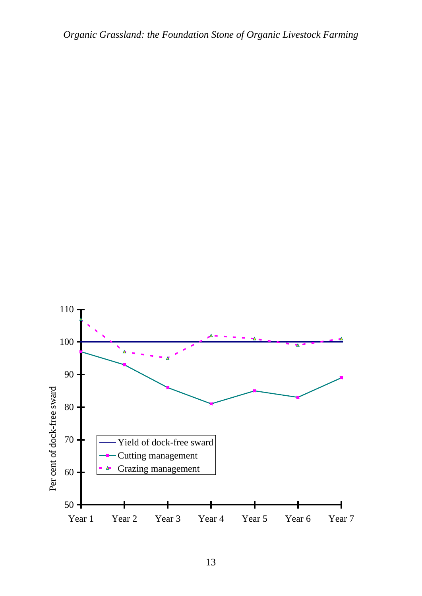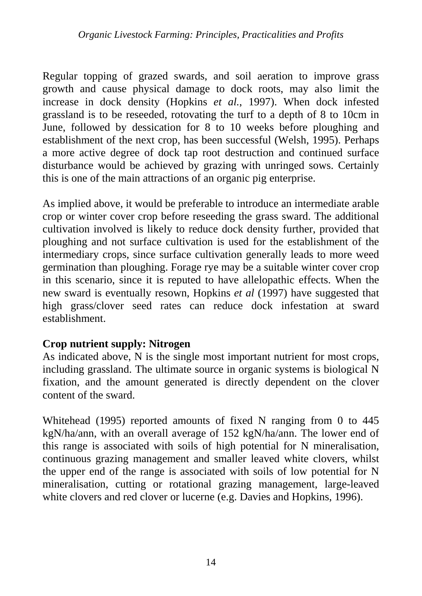Regular topping of grazed swards, and soil aeration to improve grass growth and cause physical damage to dock roots, may also limit the increase in dock density (Hopkins *et al.*, 1997). When dock infested grassland is to be reseeded, rotovating the turf to a depth of 8 to 10cm in June, followed by dessication for 8 to 10 weeks before ploughing and establishment of the next crop, has been successful (Welsh, 1995). Perhaps a more active degree of dock tap root destruction and continued surface disturbance would be achieved by grazing with unringed sows. Certainly this is one of the main attractions of an organic pig enterprise.

As implied above, it would be preferable to introduce an intermediate arable crop or winter cover crop before reseeding the grass sward. The additional cultivation involved is likely to reduce dock density further, provided that ploughing and not surface cultivation is used for the establishment of the intermediary crops, since surface cultivation generally leads to more weed germination than ploughing. Forage rye may be a suitable winter cover crop in this scenario, since it is reputed to have allelopathic effects. When the new sward is eventually resown, Hopkins *et al* (1997) have suggested that high grass/clover seed rates can reduce dock infestation at sward establishment.

## **Crop nutrient supply: Nitrogen**

As indicated above, N is the single most important nutrient for most crops, including grassland. The ultimate source in organic systems is biological N fixation, and the amount generated is directly dependent on the clover content of the sward.

Whitehead (1995) reported amounts of fixed N ranging from 0 to 445 kgN/ha/ann, with an overall average of 152 kgN/ha/ann. The lower end of this range is associated with soils of high potential for N mineralisation, continuous grazing management and smaller leaved white clovers, whilst the upper end of the range is associated with soils of low potential for N mineralisation, cutting or rotational grazing management, large-leaved white clovers and red clover or lucerne (e.g. Davies and Hopkins, 1996).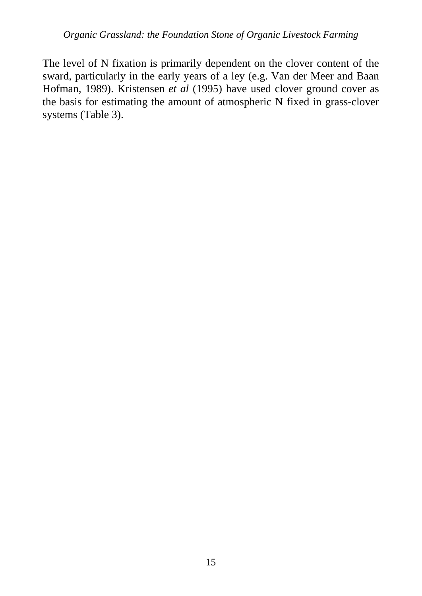*Organic Grassland: the Foundation Stone of Organic Livestock Farming*

The level of N fixation is primarily dependent on the clover content of the sward, particularly in the early years of a ley (e.g. Van der Meer and Baan Hofman, 1989). Kristensen *et al* (1995) have used clover ground cover as the basis for estimating the amount of atmospheric N fixed in grass-clover systems (Table 3).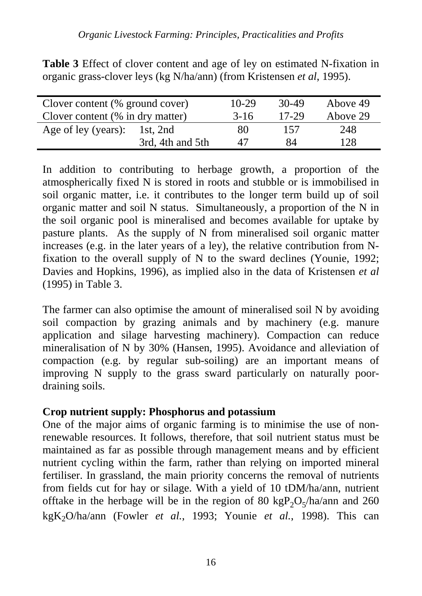| Clover content (% ground cover)  | $10-29$          | 30-49  | Above 49 |          |
|----------------------------------|------------------|--------|----------|----------|
| Clover content (% in dry matter) |                  | $3-16$ | 17-29    | Above 29 |
| Age of ley (years):              | 1st, $2nd$       | 80     | 157      | 248      |
|                                  | 3rd, 4th and 5th | 47     | 84       | 128      |

**Table 3** Effect of clover content and age of ley on estimated N-fixation in organic grass-clover leys (kg N/ha/ann) (from Kristensen *et al*, 1995).

In addition to contributing to herbage growth, a proportion of the atmospherically fixed N is stored in roots and stubble or is immobilised in soil organic matter, i.e. it contributes to the longer term build up of soil organic matter and soil N status. Simultaneously, a proportion of the N in the soil organic pool is mineralised and becomes available for uptake by pasture plants. As the supply of N from mineralised soil organic matter increases (e.g. in the later years of a ley), the relative contribution from Nfixation to the overall supply of N to the sward declines (Younie, 1992; Davies and Hopkins, 1996), as implied also in the data of Kristensen *et al* (1995) in Table 3.

The farmer can also optimise the amount of mineralised soil N by avoiding soil compaction by grazing animals and by machinery (e.g. manure application and silage harvesting machinery). Compaction can reduce mineralisation of N by 30% (Hansen, 1995). Avoidance and alleviation of compaction (e.g. by regular sub-soiling) are an important means of improving N supply to the grass sward particularly on naturally poordraining soils.

## **Crop nutrient supply: Phosphorus and potassium**

One of the major aims of organic farming is to minimise the use of nonrenewable resources. It follows, therefore, that soil nutrient status must be maintained as far as possible through management means and by efficient nutrient cycling within the farm, rather than relying on imported mineral fertiliser. In grassland, the main priority concerns the removal of nutrients from fields cut for hay or silage. With a yield of 10 tDM/ha/ann, nutrient offtake in the herbage will be in the region of 80 kgP<sub>2</sub>O<sub>5</sub>/ha/ann and 260 kgK2O/ha/ann (Fowler *et al.*, 1993; Younie *et al.*, 1998). This can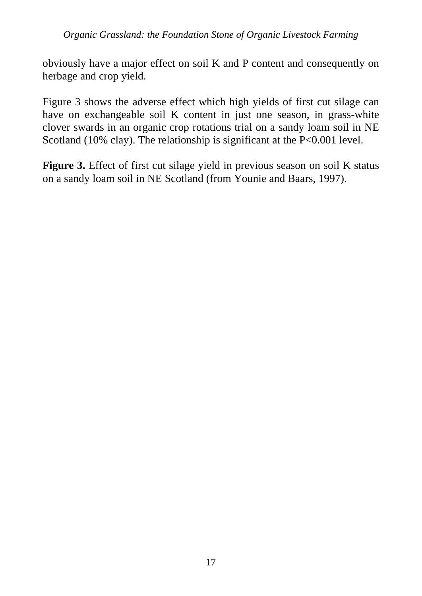obviously have a major effect on soil K and P content and consequently on herbage and crop yield.

Figure 3 shows the adverse effect which high yields of first cut silage can have on exchangeable soil K content in just one season, in grass-white clover swards in an organic crop rotations trial on a sandy loam soil in NE Scotland (10% clay). The relationship is significant at the P<0.001 level.

**Figure 3.** Effect of first cut silage yield in previous season on soil K status on a sandy loam soil in NE Scotland (from Younie and Baars, 1997).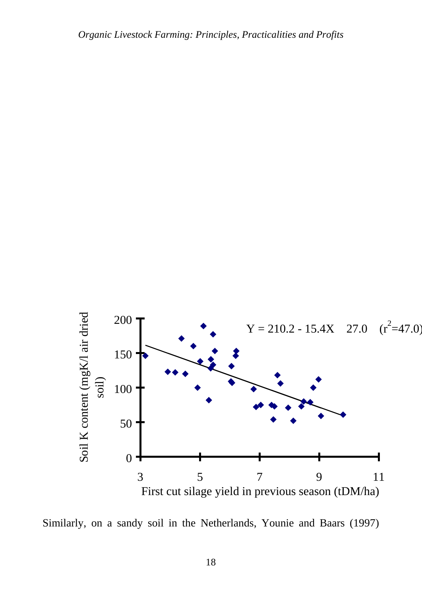

Similarly, on a sandy soil in the Netherlands, Younie and Baars (1997)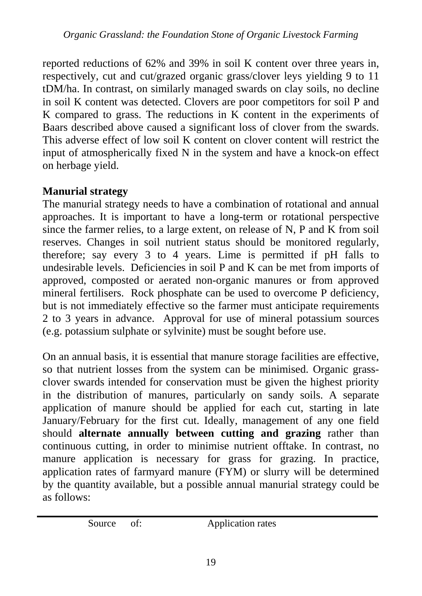reported reductions of 62% and 39% in soil K content over three years in, respectively, cut and cut/grazed organic grass/clover leys yielding 9 to 11 tDM/ha. In contrast, on similarly managed swards on clay soils, no decline in soil K content was detected. Clovers are poor competitors for soil P and K compared to grass. The reductions in K content in the experiments of Baars described above caused a significant loss of clover from the swards. This adverse effect of low soil K content on clover content will restrict the input of atmospherically fixed N in the system and have a knock-on effect on herbage yield.

# **Manurial strategy**

The manurial strategy needs to have a combination of rotational and annual approaches. It is important to have a long-term or rotational perspective since the farmer relies, to a large extent, on release of N, P and K from soil reserves. Changes in soil nutrient status should be monitored regularly, therefore; say every 3 to 4 years. Lime is permitted if pH falls to undesirable levels. Deficiencies in soil P and K can be met from imports of approved, composted or aerated non-organic manures or from approved mineral fertilisers. Rock phosphate can be used to overcome P deficiency, but is not immediately effective so the farmer must anticipate requirements 2 to 3 years in advance. Approval for use of mineral potassium sources (e.g. potassium sulphate or sylvinite) must be sought before use.

On an annual basis, it is essential that manure storage facilities are effective, so that nutrient losses from the system can be minimised. Organic grassclover swards intended for conservation must be given the highest priority in the distribution of manures, particularly on sandy soils. A separate application of manure should be applied for each cut, starting in late January/February for the first cut. Ideally, management of any one field should **alternate annually between cutting and grazing** rather than continuous cutting, in order to minimise nutrient offtake. In contrast, no manure application is necessary for grass for grazing. In practice, application rates of farmyard manure (FYM) or slurry will be determined by the quantity available, but a possible annual manurial strategy could be as follows:

| Source | of: |
|--------|-----|
|--------|-----|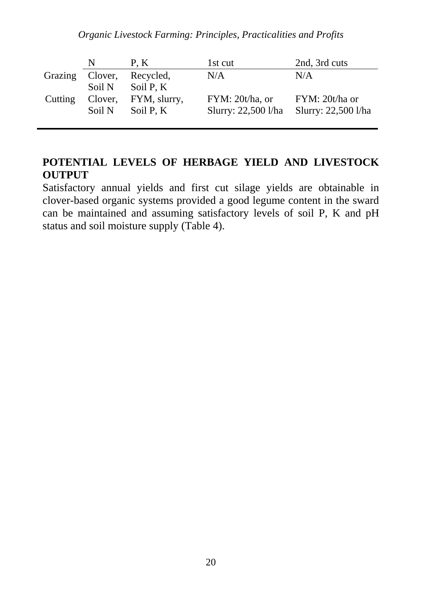*Organic Livestock Farming: Principles, Practicalities and Profits*

|         | N       | P.K          | 1st cut             | 2nd, 3rd cuts       |
|---------|---------|--------------|---------------------|---------------------|
| Grazing | Clover, | Recycled,    | N/A                 | N/A                 |
|         | Soil N  | Soil P.K     |                     |                     |
| Cutting | Clover, | FYM, slurry, | $FYM: 20t/ha$ , or  | FYM: 20t/ha or      |
|         | Soil N  | Soil P.K     | Slurry: 22,500 l/ha | Slurry: 22,500 l/ha |
|         |         |              |                     |                     |

#### **POTENTIAL LEVELS OF HERBAGE YIELD AND LIVESTOCK OUTPUT**

Satisfactory annual yields and first cut silage yields are obtainable in clover-based organic systems provided a good legume content in the sward can be maintained and assuming satisfactory levels of soil P, K and pH status and soil moisture supply (Table 4).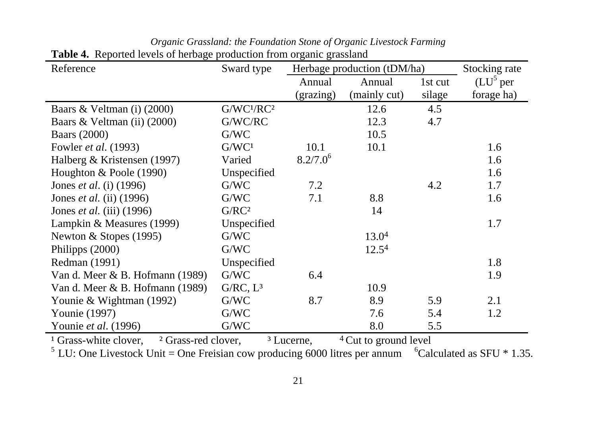| Reference                                                                                                                    | Sward type                         | Herbage production (tDM/ha) |                   |         | Stocking rate |
|------------------------------------------------------------------------------------------------------------------------------|------------------------------------|-----------------------------|-------------------|---------|---------------|
|                                                                                                                              |                                    | Annual                      | Annual            | 1st cut | $(LU^5)$ per  |
|                                                                                                                              |                                    | (grazing)                   | (mainly cut)      | silage  | forage ha)    |
| Baars & Veltman (i) (2000)                                                                                                   | G/WC <sup>1</sup> /RC <sup>2</sup> |                             | 12.6              | 4.5     |               |
| Baars & Veltman (ii) (2000)                                                                                                  | G/WC/RC                            |                             | 12.3              | 4.7     |               |
| Baars (2000)                                                                                                                 | G/WC                               |                             | 10.5              |         |               |
| Fowler et al. (1993)                                                                                                         | G/WC <sup>1</sup>                  | 10.1                        | 10.1              |         | 1.6           |
| Halberg & Kristensen (1997)                                                                                                  | Varied                             | $8.2/7.0^{6}$               |                   |         | 1.6           |
| Houghton & Poole (1990)                                                                                                      | Unspecified                        |                             |                   |         | 1.6           |
| Jones <i>et al.</i> (i) (1996)                                                                                               | G/WC                               | 7.2                         |                   | 4.2     | 1.7           |
| Jones <i>et al.</i> (ii) (1996)                                                                                              | G/WC                               | 7.1                         | 8.8               |         | 1.6           |
| Jones <i>et al.</i> (iii) (1996)                                                                                             | G/RC <sup>2</sup>                  |                             | 14                |         |               |
| Lampkin & Measures (1999)                                                                                                    | Unspecified                        |                             |                   |         | 1.7           |
| Newton $&$ Stopes (1995)                                                                                                     | G/WC                               |                             | 13.0 <sup>4</sup> |         |               |
| Philipps (2000)                                                                                                              | G/WC                               |                             | 12.5 <sup>4</sup> |         |               |
| Redman (1991)                                                                                                                | Unspecified                        |                             |                   |         | 1.8           |
| Van d. Meer $\&$ B. Hofmann (1989)                                                                                           | G/WC                               | 6.4                         |                   |         | 1.9           |
| Van d. Meer $\&$ B. Hofmann (1989)                                                                                           | $G/RC$ , $L^3$                     |                             | 10.9              |         |               |
| Younie & Wightman (1992)                                                                                                     | G/WC                               | 8.7                         | 8.9               | 5.9     | 2.1           |
| Younie (1997)                                                                                                                | G/WC                               |                             | 7.6               | 5.4     | 1.2           |
| Younie et al. (1996)                                                                                                         | G/WC                               |                             | 8.0               | 5.5     |               |
| <sup>1</sup> Grass-white clover<br><sup>2</sup> Grass-red clover<br><sup>4</sup> Cut to ground level<br><sup>3</sup> Lucerne |                                    |                             |                   |         |               |

*Organic Grassland: the Foundation Stone of Organic Livestock Farming* **Table 4.** Reported levels of herbage production from organic grassland

<sup>1</sup> Grass-white clover,  $\frac{1}{2}$  Grass-red clover,  $\frac{3}{2}$  Lucerne,  $\frac{4}{2}$  Cut to ground level <sup>5</sup> LU: One Livestock Unit = One Freisian cow producing 6000 litres per annum <sup>6</sup>Calculated as SFU  $*$  1.35.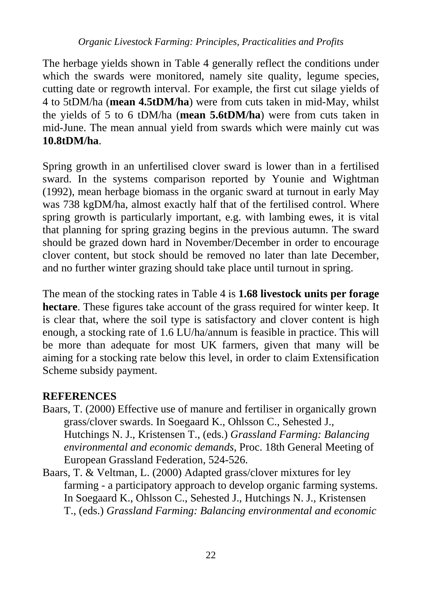The herbage yields shown in Table 4 generally reflect the conditions under which the swards were monitored, namely site quality, legume species, cutting date or regrowth interval. For example, the first cut silage yields of 4 to 5tDM/ha (**mean 4.5tDM/ha**) were from cuts taken in mid-May, whilst the yields of 5 to 6 tDM/ha (**mean 5.6tDM/ha**) were from cuts taken in mid-June. The mean annual yield from swards which were mainly cut was **10.8tDM/ha**.

Spring growth in an unfertilised clover sward is lower than in a fertilised sward. In the systems comparison reported by Younie and Wightman (1992), mean herbage biomass in the organic sward at turnout in early May was 738 kgDM/ha, almost exactly half that of the fertilised control. Where spring growth is particularly important, e.g. with lambing ewes, it is vital that planning for spring grazing begins in the previous autumn. The sward should be grazed down hard in November/December in order to encourage clover content, but stock should be removed no later than late December, and no further winter grazing should take place until turnout in spring.

The mean of the stocking rates in Table 4 is **1.68 livestock units per forage hectare**. These figures take account of the grass required for winter keep. It is clear that, where the soil type is satisfactory and clover content is high enough, a stocking rate of 1.6 LU/ha/annum is feasible in practice. This will be more than adequate for most UK farmers, given that many will be aiming for a stocking rate below this level, in order to claim Extensification Scheme subsidy payment.

#### **REFERENCES**

- Baars, T. (2000) Effective use of manure and fertiliser in organically grown grass/clover swards. In Soegaard K., Ohlsson C., Sehested J., Hutchings N. J., Kristensen T., (eds.) *Grassland Farming: Balancing environmental and economic demands*, Proc. 18th General Meeting of European Grassland Federation, 524-526.
- Baars, T. & Veltman, L. (2000) Adapted grass/clover mixtures for ley farming - a participatory approach to develop organic farming systems. In Soegaard K., Ohlsson C., Sehested J., Hutchings N. J., Kristensen T., (eds.) *Grassland Farming: Balancing environmental and economic*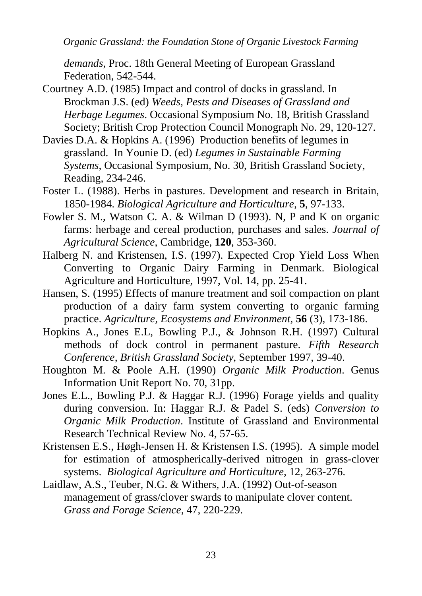*demands*, Proc. 18th General Meeting of European Grassland Federation, 542-544.

- Courtney A.D. (1985) Impact and control of docks in grassland. In Brockman J.S. (ed) *Weeds, Pests and Diseases of Grassland and Herbage Legumes*. Occasional Symposium No. 18, British Grassland Society; British Crop Protection Council Monograph No. 29, 120-127.
- Davies D.A. & Hopkins A. (1996) Production benefits of legumes in grassland. In Younie D. (ed) *Legumes in Sustainable Farming Systems*, Occasional Symposium, No. 30, British Grassland Society, Reading, 234-246.
- Foster L. (1988). Herbs in pastures. Development and research in Britain, 1850-1984. *Biological Agriculture and Horticulture*, **5**, 97-133.
- Fowler S. M., Watson C. A. & Wilman D (1993). N, P and K on organic farms: herbage and cereal production, purchases and sales. *Journal of Agricultural Science*, Cambridge, **120**, 353-360.
- Halberg N. and Kristensen, I.S. (1997). Expected Crop Yield Loss When Converting to Organic Dairy Farming in Denmark. Biological Agriculture and Horticulture, 1997, Vol. 14, pp. 25-41.
- Hansen, S. (1995) Effects of manure treatment and soil compaction on plant production of a dairy farm system converting to organic farming practice. *Agriculture, Ecosystems and Environment*, **56** (3), 173-186.
- Hopkins A., Jones E.L, Bowling P.J., & Johnson R.H. (1997) Cultural methods of dock control in permanent pasture. *Fifth Research Conference, British Grassland Society*, September 1997, 39-40.
- Houghton M. & Poole A.H. (1990) *Organic Milk Production*. Genus Information Unit Report No. 70, 31pp.
- Jones E.L., Bowling P.J. & Haggar R.J. (1996) Forage yields and quality during conversion. In: Haggar R.J. & Padel S. (eds) *Conversion to Organic Milk Production*. Institute of Grassland and Environmental Research Technical Review No. 4, 57-65.
- Kristensen E.S., Høgh-Jensen H. & Kristensen I.S. (1995). A simple model for estimation of atmospherically-derived nitrogen in grass-clover systems. *Biological Agriculture and Horticulture*, 12, 263-276.
- Laidlaw, A.S., Teuber, N.G. & Withers, J.A. (1992) Out-of-season management of grass/clover swards to manipulate clover content. *Grass and Forage Science*, 47, 220-229.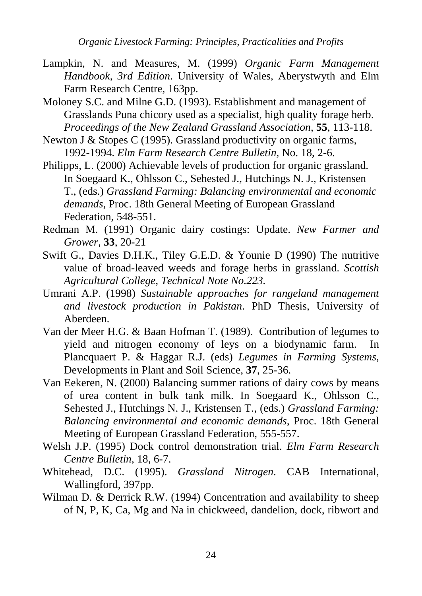*Organic Livestock Farming: Principles, Practicalities and Profits*

- Lampkin, N. and Measures, M. (1999) *Organic Farm Management Handbook, 3rd Edition*. University of Wales, Aberystwyth and Elm Farm Research Centre, 163pp.
- Moloney S.C. and Milne G.D. (1993). Establishment and management of Grasslands Puna chicory used as a specialist, high quality forage herb. *Proceedings of the New Zealand Grassland Association*, **55**, 113-118.
- Newton J & Stopes C (1995). Grassland productivity on organic farms, 1992-1994. *Elm Farm Research Centre Bulletin*, No. 18, 2-6.
- Philipps, L. (2000) Achievable levels of production for organic grassland. In Soegaard K., Ohlsson C., Sehested J., Hutchings N. J., Kristensen T., (eds.) *Grassland Farming: Balancing environmental and economic demands*, Proc. 18th General Meeting of European Grassland Federation, 548-551.
- Redman M. (1991) Organic dairy costings: Update. *New Farmer and Grower*, **33**, 20-21
- Swift G., Davies D.H.K., Tiley G.E.D. & Younie D (1990) The nutritive value of broad-leaved weeds and forage herbs in grassland. *Scottish Agricultural College, Technical Note No.223.*
- Umrani A.P. (1998) *Sustainable approaches for rangeland management and livestock production in Pakistan*. PhD Thesis, University of Aberdeen.
- Van der Meer H.G. & Baan Hofman T. (1989). Contribution of legumes to yield and nitrogen economy of leys on a biodynamic farm. In Plancquaert P. & Haggar R.J. (eds) *Legumes in Farming Systems*, Developments in Plant and Soil Science, **37**, 25-36.
- Van Eekeren, N. (2000) Balancing summer rations of dairy cows by means of urea content in bulk tank milk. In Soegaard K., Ohlsson C., Sehested J., Hutchings N. J., Kristensen T., (eds.) *Grassland Farming: Balancing environmental and economic demands*, Proc. 18th General Meeting of European Grassland Federation, 555-557.
- Welsh J.P. (1995) Dock control demonstration trial. *Elm Farm Research Centre Bulletin*, 18, 6-7.
- Whitehead, D.C. (1995). *Grassland Nitrogen*. CAB International, Wallingford, 397pp.
- Wilman D. & Derrick R.W. (1994) Concentration and availability to sheep of N, P, K, Ca, Mg and Na in chickweed, dandelion, dock, ribwort and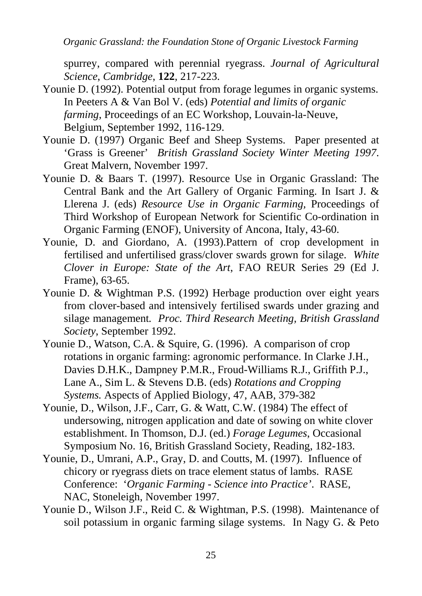spurrey, compared with perennial ryegrass. *Journal of Agricultural Science*, *Cambridge*, **122**, 217-223.

- Younie D. (1992). Potential output from forage legumes in organic systems. In Peeters A & Van Bol V. (eds) *Potential and limits of organic farming*, Proceedings of an EC Workshop, Louvain-la-Neuve, Belgium, September 1992, 116-129.
- Younie D. (1997) Organic Beef and Sheep Systems. Paper presented at 'Grass is Greener' *British Grassland Society Winter Meeting 1997*. Great Malvern, November 1997.
- Younie D. & Baars T. (1997). Resource Use in Organic Grassland: The Central Bank and the Art Gallery of Organic Farming. In Isart J. & Llerena J. (eds) *Resource Use in Organic Farming,* Proceedings of Third Workshop of European Network for Scientific Co-ordination in Organic Farming (ENOF), University of Ancona, Italy, 43-60.
- Younie, D. and Giordano, A. (1993).Pattern of crop development in fertilised and unfertilised grass/clover swards grown for silage. *White Clover in Europe: State of the Art*, FAO REUR Series 29 (Ed J. Frame), 63-65.
- Younie D. & Wightman P.S. (1992) Herbage production over eight years from clover-based and intensively fertilised swards under grazing and silage management*. Proc. Third Research Meeting, British Grassland Society*, September 1992.
- Younie D., Watson, C.A. & Squire, G. (1996). A comparison of crop rotations in organic farming: agronomic performance. In Clarke J.H., Davies D.H.K., Dampney P.M.R., Froud-Williams R.J., Griffith P.J., Lane A., Sim L. & Stevens D.B. (eds) *Rotations and Cropping Systems.* Aspects of Applied Biology, 47, AAB, 379-382
- Younie, D., Wilson, J.F., Carr, G. & Watt, C.W. (1984) The effect of undersowing, nitrogen application and date of sowing on white clover establishment. In Thomson, D.J. (ed.) *Forage Legumes*, Occasional Symposium No. 16, British Grassland Society, Reading, 182-183.
- Younie, D., Umrani, A.P., Gray, D. and Coutts, M. (1997). Influence of chicory or ryegrass diets on trace element status of lambs. RASE Conference: '*Organic Farming - Science into Practice'*. RASE, NAC, Stoneleigh, November 1997.
- Younie D., Wilson J.F., Reid C. & Wightman, P.S. (1998). Maintenance of soil potassium in organic farming silage systems. In Nagy G. & Peto